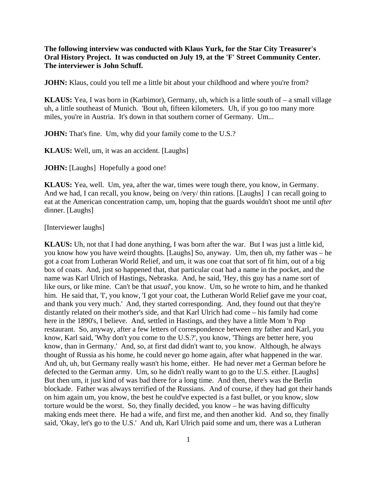**The following interview was conducted with Klaus Yurk, for the Star City Treasurer's Oral History Project. It was conducted on July 19, at the 'F' Street Community Center. The interviewer is John Schuff.** 

**JOHN:** Klaus, could you tell me a little bit about your childhood and where you're from?

**KLAUS:** Yea, I was born in (Karbimor), Germany, uh, which is a little south of – a small village uh, a little southeast of Munich. 'Bout uh, fifteen kilometers. Uh, if you go too many more miles, you're in Austria. It's down in that southern corner of Germany. Um...

**JOHN:** That's fine. Um, why did your family come to the U.S.?

**KLAUS:** Well, um, it was an accident. [Laughs]

**JOHN:** [Laughs] Hopefully a good one!

**KLAUS:** Yea, well. Um, yea, after the war, times were tough there, you know, in Germany. And we had, I can recall, you know, being on /very/ thin rations. [Laughs] I can recall going to eat at the American concentration camp, um, hoping that the guards wouldn't shoot me until *after*  dinner. [Laughs]

[Interviewer laughs]

**KLAUS:** Uh, not that I had done anything, I was born after the war. But I was just a little kid, you know how you have weird thoughts. [Laughs] So, anyway. Um, then uh, my father was – he got a coat from Lutheran World Relief, and um, it was one coat that sort of fit him, out of a big box of coats. And, just so happened that, that particular coat had a name in the pocket, and the name was Karl Ulrich of Hastings, Nebraska. And, he said, 'Hey, this guy has a name sort of like ours, or like mine. Can't be that *usual*', you know. Um, so he wrote to him, and he thanked him. He said that, 'I', you know, 'I got your coat, the Lutheran World Relief gave me your coat, and thank you very much.' And, they started corresponding. And, they found out that they're distantly related on their mother's side, and that Karl Ulrich had come – his family had come here in the 1890's, I believe. And, settled in Hastings, and they have a little Mom 'n Pop restaurant. So, anyway, after a few letters of correspondence between my father and Karl, you know, Karl said, 'Why don't you come to the U.S.?', you know, 'Things are better here, you know, than in Germany.' And, so, at first dad didn't want to, you know. Although, he always thought of Russia as his home, he could never go home again, after what happened in the war. And uh, uh, but Germany really wasn't his home, either. He had never *met* a German before he defected to the German army. Um, so he didn't really want to go to the U.S. either. [Laughs] But then um, it just kind of was bad there for a long time. And then, there's was the Berlin blockade. Father was always terrified of the Russians. And of course, if they had got their hands on him again um, you know, the best he could've expected is a fast bullet, or you know, slow torture would be the worst. So, they finally decided, you know – he was having difficulty making ends meet there. He had a wife, and first me, and then another kid. And so, they finally said, 'Okay, let's go to the U.S.' And uh, Karl Ulrich paid some and um, there was a Lutheran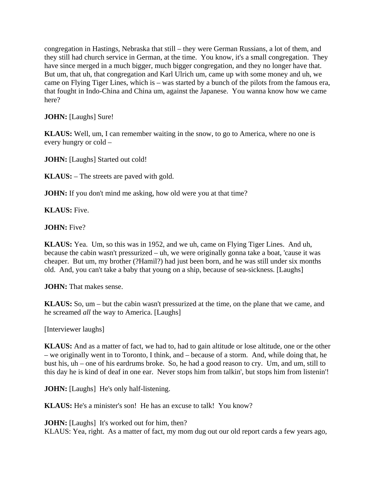congregation in Hastings, Nebraska that still – they were German Russians, a lot of them, and they still had church service in German, at the time. You know, it's a small congregation. They have since merged in a much bigger, much bigger congregation, and they no longer have that. But um, that uh, that congregation and Karl Ulrich um, came up with some money and uh, we came on Flying Tiger Lines, which is – was started by a bunch of the pilots from the famous era, that fought in Indo-China and China um, against the Japanese. You wanna know how we came here?

**JOHN:** [Laughs] Sure!

**KLAUS:** Well, um, I can remember waiting in the snow, to go to America, where no one is every hungry or cold –

**JOHN:** [Laughs] Started out cold!

**KLAUS:** – The streets are paved with gold.

**JOHN:** If you don't mind me asking, how old were you at that time?

**KLAUS:** Five.

**JOHN:** Five?

**KLAUS:** Yea. Um, so this was in 1952, and we uh, came on Flying Tiger Lines. And uh, because the cabin wasn't pressurized – uh, we were originally gonna take a boat, 'cause it was cheaper. But um, my brother (?Hamil?) had just been born, and he was still under six months old. And, you can't take a baby that young on a ship, because of sea-sickness. [Laughs]

**JOHN:** That makes sense.

**KLAUS:** So, um – but the cabin wasn't pressurized at the time, on the plane that we came, and he screamed *all* the way to America. [Laughs]

[Interviewer laughs]

**KLAUS:** And as a matter of fact, we had to, had to gain altitude or lose altitude, one or the other – we originally went in to Toronto, I think, and – because of a storm. And, while doing that, he bust his, uh – one of his eardrums broke. So, he had a good reason to cry. Um, and um, still to this day he is kind of deaf in one ear. Never stops him from talkin', but stops him from listenin'!

**JOHN:** [Laughs] He's only half-listening.

**KLAUS:** He's a minister's son! He has an excuse to talk! You know?

**JOHN:** [Laughs] It's worked out for him, then? KLAUS: Yea, right. As a matter of fact, my mom dug out our old report cards a few years ago,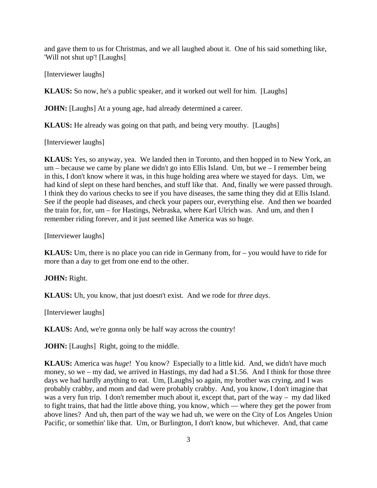and gave them to us for Christmas, and we all laughed about it. One of his said something like, 'Will not shut up'! [Laughs]

[Interviewer laughs]

**KLAUS:** So now, he's a public speaker, and it worked out well for him. [Laughs]

**JOHN:** [Laughs] At a young age, had already determined a career.

**KLAUS:** He already was going on that path, and being very mouthy. [Laughs]

[Interviewer laughs]

**KLAUS:** Yes, so anyway, yea. We landed then in Toronto, and then hopped in to New York, an um – because we came by plane we didn't go into Ellis Island. Um, but we – I remember being in this, I don't know where it was, in this huge holding area where we stayed for days. Um, we had kind of slept on these hard benches, and stuff like that. And, finally we were passed through. I think they do various checks to see if you have diseases, the same thing they did at Ellis Island. See if the people had diseases, and check your papers our, everything else. And then we boarded the train for, for, um – for Hastings, Nebraska, where Karl Ulrich was. And um, and then I remember riding forever, and it just seemed like America was so huge.

[Interviewer laughs]

**KLAUS:** Um, there is no place you can ride in Germany from, for – you would have to ride for more than a day to get from one end to the other.

#### **JOHN:** Right.

**KLAUS:** Uh, you know, that just doesn't exist. And we rode for *three days*.

[Interviewer laughs]

**KLAUS:** And, we're gonna only be half way across the country!

**JOHN:** [Laughs] Right, going to the middle.

**KLAUS:** America was *huge*! You know? Especially to a little kid. And, we didn't have much money, so we – my dad, we arrived in Hastings, my dad had a \$1.56. And I think for those three days we had hardly anything to eat. Um, [Laughs] so again, my brother was crying, and I was probably crabby, and mom and dad were probably crabby. And, you know, I don't imagine that was a very fun trip. I don't remember much about it, except that, part of the way – my dad liked to fight trains, that had the little above thing, you know, which — where they get the power from above lines? And uh, then part of the way we had uh, we were on the City of Los Angeles Union Pacific, or somethin' like that. Um, or Burlington, I don't know, but whichever. And, that came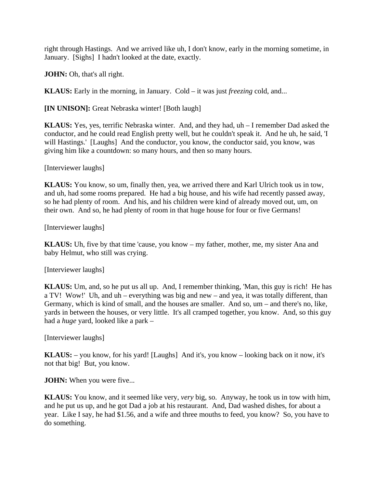right through Hastings. And we arrived like uh, I don't know, early in the morning sometime, in January. [Sighs] I hadn't looked at the date, exactly.

**JOHN:** Oh, that's all right.

**KLAUS:** Early in the morning, in January. Cold – it was just *freezing* cold, and...

**[IN UNISON]:** Great Nebraska winter! [Both laugh]

**KLAUS:** Yes, yes, terrific Nebraska winter. And, and they had, uh – I remember Dad asked the conductor, and he could read English pretty well, but he couldn't speak it. And he uh, he said, 'I will Hastings.' [Laughs] And the conductor, you know, the conductor said, you know, was giving him like a countdown: so many hours, and then so many hours.

[Interviewer laughs]

**KLAUS:** You know, so um, finally then, yea, we arrived there and Karl Ulrich took us in tow, and uh, had some rooms prepared. He had a big house, and his wife had recently passed away, so he had plenty of room. And his, and his children were kind of already moved out, um, on their own. And so, he had plenty of room in that huge house for four or five Germans!

[Interviewer laughs]

**KLAUS:** Uh, five by that time 'cause, you know – my father, mother, me, my sister Ana and baby Helmut, who still was crying.

[Interviewer laughs]

**KLAUS:** Um, and, so he put us all up. And, I remember thinking, 'Man, this guy is rich! He has a TV! Wow!' Uh, and uh – everything was big and new – and yea, it was totally different, than Germany, which is kind of small, and the houses are smaller. And so, um – and there's no, like, yards in between the houses, or very little. It's all cramped together, you know. And, so this guy had a *huge* yard, looked like a park –

[Interviewer laughs]

**KLAUS:** – you know, for his yard! [Laughs] And it's, you know – looking back on it now, it's not that big! But, you know.

**JOHN:** When you were five...

**KLAUS:** You know, and it seemed like very, *very* big, so. Anyway, he took us in tow with him, and he put us up, and he got Dad a job at his restaurant. And, Dad washed dishes, for about a year. Like I say, he had \$1.56, and a wife and three mouths to feed, you know? So, you have to do something.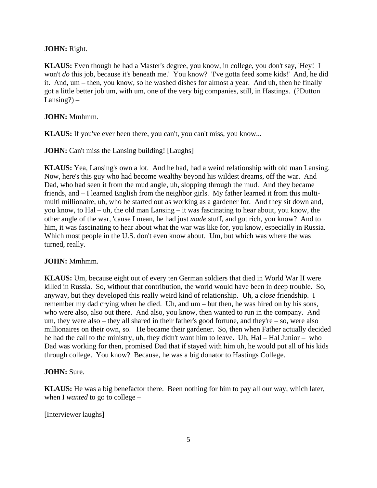### **JOHN:** Right.

**KLAUS:** Even though he had a Master's degree, you know, in college, you don't say, 'Hey! I won't *do* this job, because it's beneath me.' You know? 'I've gotta feed some kids!' And, he did it. And, um – then, you know, so he washed dishes for almost a year. And uh, then he finally got a little better job um, with um, one of the very big companies, still, in Hastings. (?Dutton Lansing? $)$  –

### **JOHN:** Mmhmm.

**KLAUS:** If you've ever been there, you can't, you can't miss, you know...

**JOHN:** Can't miss the Lansing building! [Laughs]

**KLAUS:** Yea, Lansing's own a lot. And he had, had a weird relationship with old man Lansing. Now, here's this guy who had become wealthy beyond his wildest dreams, off the war. And Dad, who had seen it from the mud angle, uh, slopping through the mud. And they became friends, and – I learned English from the neighbor girls. My father learned it from this multimulti millionaire, uh, who he started out as working as a gardener for. And they sit down and, you know, to Hal – uh, the old man Lansing – it was fascinating to hear about, you know, the other angle of the war, 'cause I mean, he had just *made* stuff, and got rich, you know? And to him, it was fascinating to hear about what the war was like for, you know, especially in Russia. Which most people in the U.S. don't even know about. Um, but which was where the was turned, really.

#### **JOHN:** Mmhmm.

**KLAUS:** Um, because eight out of every ten German soldiers that died in World War II were killed in Russia. So, without that contribution, the world would have been in deep trouble. So, anyway, but they developed this really weird kind of relationship. Uh, a *close* friendship. I remember my dad crying when he died. Uh, and um – but then, he was hired on by his sons, who were also, also out there. And also, you know, then wanted to run in the company. And um, they were also – they all shared in their father's good fortune, and they're – so, were also millionaires on their own, so. He became their gardener. So, then when Father actually decided he had the call to the ministry, uh, they didn't want him to leave. Uh, Hal – Hal Junior – who Dad was working for then, promised Dad that if stayed with him uh, he would put all of his kids through college. You know? Because, he was a big donator to Hastings College.

#### **JOHN:** Sure.

**KLAUS:** He was a big benefactor there. Been nothing for him to pay all our way, which later, when I *wanted* to go to college –

[Interviewer laughs]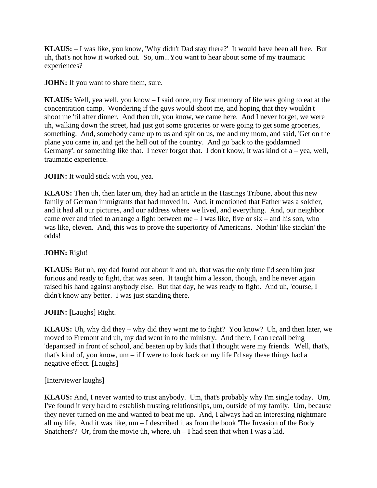**KLAUS:** – I was like, you know, 'Why didn't Dad stay there?' It would have been all free. But uh, that's not how it worked out. So, um...You want to hear about some of my traumatic experiences?

**JOHN:** If you want to share them, sure.

**KLAUS:** Well, yea well, you know – I said once, my first memory of life was going to eat at the concentration camp. Wondering if the guys would shoot me, and hoping that they wouldn't shoot me 'til after dinner. And then uh, you know, we came here. And I never forget, we were uh, walking down the street, had just got some groceries or were going to get some groceries, something. And, somebody came up to us and spit on us, me and my mom, and said, 'Get on the plane you came in, and get the hell out of the country. And go back to the goddamned Germany'. or something like that. I never forgot that. I don't know, it was kind of  $a$  – yea, well, traumatic experience.

**JOHN:** It would stick with you, yea.

**KLAUS:** Then uh, then later um, they had an article in the Hastings Tribune, about this new family of German immigrants that had moved in. And, it mentioned that Father was a soldier, and it had all our pictures, and our address where we lived, and everything. And, our neighbor came over and tried to arrange a fight between  $me - I$  was like, five or  $six - and$  his son, who was like, eleven. And, this was to prove the superiority of Americans. Nothin' like stackin' the odds!

# **JOHN:** Right!

**KLAUS:** But uh, my dad found out about it and uh, that was the only time I'd seen him just furious and ready to fight, that was seen. It taught him a lesson, though, and he never again raised his hand against anybody else. But that day, he was ready to fight. And uh, 'course, I didn't know any better. I was just standing there.

**JOHN: [**Laughs] Right.

**KLAUS:** Uh, why did they – why did they want me to fight? You know? Uh, and then later, we moved to Fremont and uh, my dad went in to the ministry. And there, I can recall being 'depantsed' in front of school, and beaten up by kids that I thought were my friends. Well, that's, that's kind of, you know, um – if I were to look back on my life I'd say these things had a negative effect. [Laughs]

[Interviewer laughs]

**KLAUS:** And, I never wanted to trust anybody. Um, that's probably why I'm single today. Um, I've found it very hard to establish trusting relationships, um, outside of my family. Um, because they never turned on me and wanted to beat me up. And, I always had an interesting nightmare all my life. And it was like, um – I described it as from the book 'The Invasion of the Body Snatchers'? Or, from the movie uh, where,  $uh - I$  had seen that when I was a kid.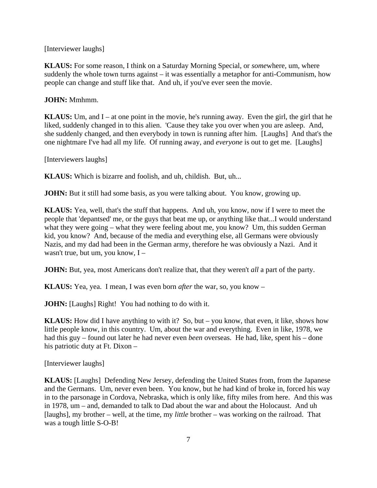[Interviewer laughs]

**KLAUS:** For some reason, I think on a Saturday Morning Special, or *some*where, um, where suddenly the whole town turns against – it was essentially a metaphor for anti-Communism, how people can change and stuff like that. And uh, if you've ever seen the movie.

**JOHN:** Mmhmm.

**KLAUS:** Um, and  $I$  – at one point in the movie, he's running away. Even the girl, the girl that he liked, suddenly changed in to this alien. 'Cause they take you over when you are asleep. And, she suddenly changed, and then everybody in town is running after him. [Laughs] And that's the one nightmare I've had all my life. Of running away, and *everyone* is out to get me. [Laughs]

[Interviewers laughs]

**KLAUS:** Which is bizarre and foolish, and uh, childish. But, uh...

**JOHN:** But it still had some basis, as you were talking about. You know, growing up.

**KLAUS:** Yea, well, that's the stuff that happens. And uh, you know, now if I were to meet the people that 'depantsed' me, or the guys that beat me up, or anything like that...I would understand what they were going – what they were feeling about me, you know? Um, this sudden German kid, you know? And, because of the media and everything else, all Germans were obviously Nazis, and my dad had been in the German army, therefore he was obviously a Nazi. And it wasn't true, but um, you know, I –

**JOHN:** But, yea, most Americans don't realize that, that they weren't *all* a part of the party.

**KLAUS:** Yea, yea. I mean, I was even born *after* the war, so, you know –

**JOHN:** [Laughs] Right! You had nothing to do with it.

**KLAUS:** How did I have anything to with it? So, but – you know, that even, it like, shows how little people know, in this country. Um, about the war and everything. Even in like, 1978, we had this guy – found out later he had never even *been* overseas. He had, like, spent his – done his patriotic duty at Ft. Dixon –

[Interviewer laughs]

**KLAUS:** [Laughs] Defending New Jersey, defending the United States from, from the Japanese and the Germans. Um, never even been. You know, but he had kind of broke in, forced his way in to the parsonage in Cordova, Nebraska, which is only like, fifty miles from here. And this was in 1978, um – and, demanded to talk to Dad about the war and about the Holocaust. And uh [laughs], my brother – well, at the time, my *little* brother – was working on the railroad. That was a tough little S-O-B!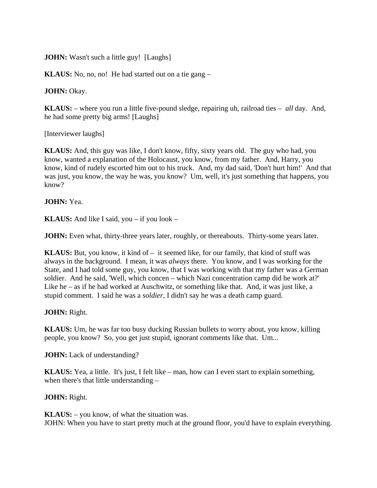**JOHN:** Wasn't such a little guy! [Laughs]

**KLAUS:** No, no, no! He had started out on a tie gang –

**JOHN:** Okay.

**KLAUS:** – where you run a little five-pound sledge, repairing uh, railroad ties – *all* day. And, he had some pretty big arms! [Laughs]

[Interviewer laughs]

**KLAUS:** And, this guy was like, I don't know, fifty, sixty years old. The guy who had, you know, wanted a explanation of the Holocaust, you know, from my father. And, Harry, you know, kind of rudely escorted him out to his truck. And, my dad said, 'Don't hurt him!' And that was just, you know, the way he was, you know? Um, well, it's just something that happens, you know?

**JOHN:** Yea.

**KLAUS:** And like I said, you – if you look –

**JOHN:** Even what, thirty-three years later, roughly, or thereabouts. Thirty-some years later.

**KLAUS:** But, you know, it kind of – it seemed like, for our family, that kind of stuff was always in the background. I mean, it was *always* there. You know, and I was working for the State, and I had told some guy, you know, that I was working with that my father was a German soldier. And he said, 'Well, which concen – which Nazi concentration camp did he work at?' Like he – as if he had worked at Auschwitz, or something like that. And, it was just like, a stupid comment. I said he was a *soldier*, I didn't say he was a death camp guard.

**JOHN:** Right.

**KLAUS:** Um, he was far too busy ducking Russian bullets to worry about, you know, killing people, you know? So, you get just stupid, ignorant comments like that. Um...

**JOHN:** Lack of understanding?

**KLAUS:** Yea, a little. It's just, I felt like – man, how can I even start to explain something, when there's that little understanding –

**JOHN:** Right.

**KLAUS:** – you know, of what the situation was. JOHN: When you have to start pretty much at the ground floor, you'd have to explain everything.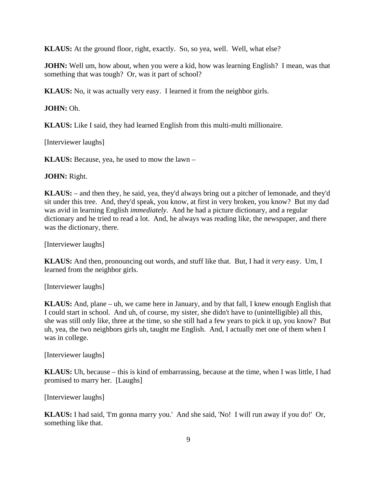**KLAUS:** At the ground floor, right, exactly. So, so yea, well. Well, what else?

**JOHN:** Well um, how about, when you were a kid, how was learning English? I mean, was that something that was tough? Or, was it part of school?

**KLAUS:** No, it was actually very easy. I learned it from the neighbor girls.

### **JOHN:** Oh.

**KLAUS:** Like I said, they had learned English from this multi-multi millionaire.

[Interviewer laughs]

**KLAUS:** Because, yea, he used to mow the lawn –

**JOHN:** Right.

**KLAUS:** – and then they, he said, yea, they'd always bring out a pitcher of lemonade, and they'd sit under this tree. And, they'd speak, you know, at first in very broken, you know? But my dad was avid in learning English *immediately*. And he had a picture dictionary, and a regular dictionary and he tried to read a lot. And, he always was reading like, the newspaper, and there was the dictionary, there.

[Interviewer laughs]

**KLAUS:** And then, pronouncing out words, and stuff like that. But, I had it *very* easy. Um, I learned from the neighbor girls.

[Interviewer laughs]

**KLAUS:** And, plane – uh, we came here in January, and by that fall, I knew enough English that I could start in school. And uh, of course, my sister, she didn't have to (unintelligible) all this, she was still only like, three at the time, so she still had a few years to pick it up, you know? But uh, yea, the two neighbors girls uh, taught me English. And, I actually met one of them when I was in college.

[Interviewer laughs]

**KLAUS:** Uh, because – this is kind of embarrassing, because at the time, when I was little, I had promised to marry her. [Laughs]

[Interviewer laughs]

**KLAUS:** I had said, 'I'm gonna marry you.' And she said, 'No! I will run away if you do!' Or, something like that.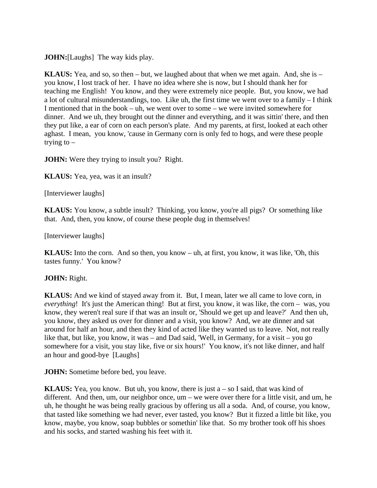**JOHN:**[Laughs] The way kids play.

**KLAUS:** Yea, and so, so then – but, we laughed about that when we met again. And, she is – you know, I lost track of her. I have no idea where she is now, but I should thank her for teaching me English! You know, and they were extremely nice people. But, you know, we had a lot of cultural misunderstandings, too. Like uh, the first time we went over to a family – I think I mentioned that in the book – uh, we went over to some – we were invited somewhere for dinner. And we uh, they brought out the dinner and everything, and it was sittin' there, and then they put like, a ear of corn on each person's plate. And my parents, at first, looked at each other aghast. I mean, you know, 'cause in Germany corn is only fed to hogs, and were these people trying to  $-$ 

**JOHN:** Were they trying to insult you? Right.

**KLAUS:** Yea, yea, was it an insult?

[Interviewer laughs]

**KLAUS:** You know, a subtle insult? Thinking, you know, you're all pigs? Or something like that. And, then, you know, of course these people dug in themselves!

[Interviewer laughs]

**KLAUS:** Into the corn. And so then, you know – uh, at first, you know, it was like, 'Oh, this tastes funny.' You know?

## **JOHN:** Right.

**KLAUS:** And we kind of stayed away from it. But, I mean, later we all came to love corn, in *everything*! It's just the American thing! But at first, you know, it was like, the corn – was, you know, they weren't real sure if that was an insult or, 'Should we get up and leave?' And then uh, you know, they asked us over for dinner and a visit, you know? And, we ate dinner and sat around for half an hour, and then they kind of acted like they wanted us to leave. Not, not really like that, but like, you know, it was – and Dad said, 'Well, in Germany, for a visit – you go somewhere for a visit, you stay like, five or six hours!' You know, it's not like dinner, and half an hour and good-bye [Laughs]

**JOHN:** Sometime before bed, you leave.

**KLAUS:** Yea, you know. But uh, you know, there is just a – so I said, that was kind of different. And then, um, our neighbor once, um – we were over there for a little visit, and um, he uh, he thought he was being really gracious by offering us all a soda. And, of course, you know, that tasted like something we had never, ever tasted, you know? But it fizzed a little bit like, you know, maybe, you know, soap bubbles or somethin' like that. So my brother took off his shoes and his socks, and started washing his feet with it.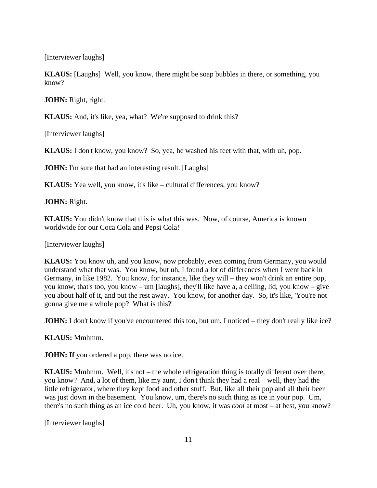[Interviewer laughs]

**KLAUS:** [Laughs] Well, you know, there might be soap bubbles in there, or something, you know?

**JOHN:** Right, right.

**KLAUS:** And, it's like, yea, what? We're supposed to drink this?

[Interviewer laughs]

**KLAUS:** I don't know, you know? So, yea, he washed his feet with that, with uh, pop.

**JOHN:** I'm sure that had an interesting result. [Laughs]

**KLAUS:** Yea well, you know, it's like – cultural differences, you know?

**JOHN:** Right.

**KLAUS:** You didn't know that this is what this was. Now, of course, America is known worldwide for our Coca Cola and Pepsi Cola!

[Interviewer laughs]

**KLAUS:** You know uh, and you know, now probably, even coming from Germany, you would understand what that was. You know, but uh, I found a lot of differences when I went back in Germany, in like 1982. You know, for instance, like they will – they won't drink an entire pop, you know, that's too, you know – um [laughs], they'll like have a, a ceiling, lid, you know – give you about half of it, and put the rest away. You know, for another day. So, it's like, 'You're not gonna give me a whole pop? What is this?'

**JOHN:** I don't know if you've encountered this too, but um, I noticed – they don't really like ice?

**KLAUS:** Mmhmm.

**JOHN:** If you ordered a pop, there was no ice.

**KLAUS:** Mmhmm. Well, it's not – the whole refrigeration thing is totally different over there, you know? And, a lot of them, like my aunt, I don't think they had a real – well, they had the little refrigerator, where they kept food and other stuff. But, like all their pop and all their beer was just down in the basement. You know, um, there's no such thing as ice in your pop. Um, there's no such thing as an ice cold beer. Uh, you know, it was *cool* at most – at best, you know?

[Interviewer laughs]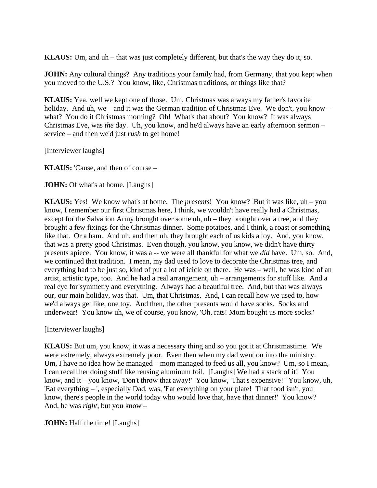**KLAUS:** Um, and uh – that was just completely different, but that's the way they do it, so.

**JOHN:** Any cultural things? Any traditions your family had, from Germany, that you kept when you moved to the U.S.? You know, like, Christmas traditions, or things like that?

**KLAUS:** Yea, well we kept one of those. Um, Christmas was always my father's favorite holiday. And uh, we – and it was the German tradition of Christmas Eve. We don't, you know – what? You do it Christmas morning? Oh! What's that about? You know? It was always Christmas Eve, was *the* day. Uh, you know, and he'd always have an early afternoon sermon – service – and then we'd just *rush* to get home!

[Interviewer laughs]

**KLAUS:** 'Cause, and then of course –

**JOHN:** Of what's at home. [Laughs]

**KLAUS:** Yes! We know what's at home. The *presents*! You know? But it was like, uh – you know, I remember our first Christmas here, I think, we wouldn't have really had a Christmas, except for the Salvation Army brought over some uh, uh – they brought over a tree, and they brought a few fixings for the Christmas dinner. Some potatoes, and I think, a roast or something like that. Or a ham. And uh, and then uh, they brought each of us kids a toy. And, you know, that was a pretty good Christmas. Even though, you know, you know, we didn't have thirty presents apiece. You know, it was a -- we were all thankful for what we *did* have. Um, so. And, we continued that tradition. I mean, my dad used to love to decorate the Christmas tree, and everything had to be just so, kind of put a lot of icicle on there. He was – well, he was kind of an artist, artistic type, too. And he had a real arrangement, uh – arrangements for stuff like. And a real eye for symmetry and everything. Always had a beautiful tree. And, but that was always our, our main holiday, was that. Um, that Christmas. And, I can recall how we used to, how we'd always get like, one toy. And then, the other presents would have socks. Socks and underwear! You know uh, we of course, you know, 'Oh, rats! Mom bought us more socks.'

[Interviewer laughs]

**KLAUS:** But um, you know, it was a necessary thing and so you got it at Christmastime. We were extremely, always extremely poor. Even then when my dad went on into the ministry. Um, I have no idea how he managed – mom managed to feed us all, you know? Um, so I mean, I can recall her doing stuff like reusing aluminum foil. [Laughs] We had a stack of it! You know, and it – you know, 'Don't throw that away!' You know, 'That's expensive!' You know, uh, 'Eat everything – ', especially Dad, was, 'Eat everything on your plate! That food isn't, you know, there's people in the world today who would love that, have that dinner!' You know? And, he was *right*, but you know –

**JOHN:** Half the time! [Laughs]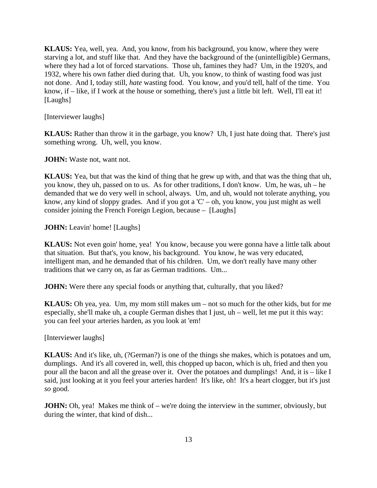**KLAUS:** Yea, well, yea. And, you know, from his background, you know, where they were starving a lot, and stuff like that. And they have the background of the (unintelligible) Germans, where they had a lot of forced starvations. Those uh, famines they had? Um, in the 1920's, and 1932, where his own father died during that. Uh, you know, to think of wasting food was just not done. And I, today still, *hate* wasting food. You know, and you'd tell, half of the time. You know, if – like, if I work at the house or something, there's just a little bit left. Well, I'll eat it! [Laughs]

[Interviewer laughs]

**KLAUS:** Rather than throw it in the garbage, you know? Uh, I just hate doing that. There's just something wrong. Uh, well, you know.

**JOHN:** Waste not, want not.

**KLAUS:** Yea, but that was the kind of thing that he grew up with, and that was the thing that uh, you know, they uh, passed on to us. As for other traditions, I don't know. Um, he was, uh – he demanded that we do very well in school, always. Um, and uh, would not tolerate anything, you know, any kind of sloppy grades. And if you got a 'C' – oh, you know, you just might as well consider joining the French Foreign Legion, because – [Laughs]

**JOHN:** Leavin' home! [Laughs]

**KLAUS:** Not even goin' home, yea! You know, because you were gonna have a little talk about that situation. But that's, you know, his background. You know, he was very educated, intelligent man, and he demanded that of his children. Um, we don't really have many other traditions that we carry on, as far as German traditions. Um...

**JOHN:** Were there any special foods or anything that, culturally, that you liked?

**KLAUS:** Oh yea, yea. Um, my mom still makes um – not so much for the other kids, but for me especially, she'll make uh, a couple German dishes that I just, uh – well, let me put it this way: you can feel your arteries harden, as you look at 'em!

[Interviewer laughs]

**KLAUS:** And it's like, uh, (?German?) is one of the things she makes, which is potatoes and um, dumplings. And it's all covered in, well, this chopped up bacon, which is uh, fried and then you pour all the bacon and all the grease over it. Over the potatoes and dumplings! And, it is – like I said, just looking at it you feel your arteries harden! It's like, oh! It's a heart clogger, but it's just *so* good.

**JOHN:** Oh, yea! Makes me think of – we're doing the interview in the summer, obviously, but during the winter, that kind of dish...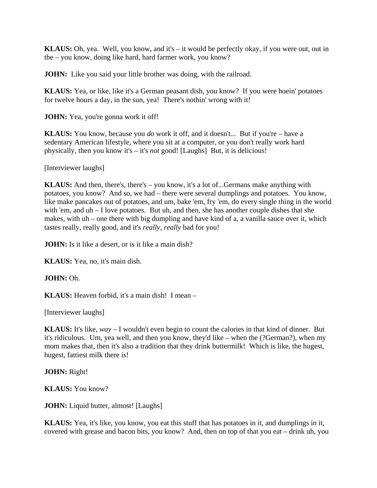**KLAUS:** Oh, yea. Well, you know, and it's – it would be perfectly okay, if you were out, out in the – you know, doing like hard, hard farmer work, you know?

**JOHN:** Like you said your little brother was doing, with the railroad.

**KLAUS:** Yea, or like, like it's a German peasant dish, you know? If you were hoein' potatoes for twelve hours a day, in the sun, yea! There's nothin' wrong with it!

**JOHN:** Yea, you're gonna work it off!

**KLAUS:** You know, because you *do* work it off, and it doesn't... But if you're – have a sedentary American lifestyle, where you sit at a computer, or you don't really work hard physically, then you know it's – it's *not* good! [Laughs] But, it is delicious!

[Interviewer laughs]

**KLAUS:** And then, there's, there's – you know, it's a lot of...Germans make anything with potatoes, you know? And so, we had – there were several dumplings and potatoes. You know, like make pancakes out of potatoes, and um, bake 'em, fry 'em, do every single thing in the world with 'em, and uh – I love potatoes. But uh, and then, she has another couple dishes that she makes, with uh – one there with big dumpling and have kind of a, a vanilla sauce over it, which tastes really, really good, and it's *really, really* bad for you!

**JOHN:** Is it like a desert, or is it like a main dish?

**KLAUS:** Yea, no, it's main dish.

**JOHN:** Oh.

**KLAUS:** Heaven forbid, it's a main dish! I mean –

[Interviewer laughs]

**KLAUS:** It's like, *way* – I wouldn't even begin to count the calories in that kind of dinner. But it's ridiculous. Um, yea well, and then you know, they'd like – when the (?German?), when my mom makes that, then it's also a tradition that they drink buttermilk! Which is like, the hugest, hugest, fattiest milk there *is*!

**JOHN:** Right!

**KLAUS:** You know?

**JOHN:** Liquid butter, almost! [Laughs]

**KLAUS:** Yea, it's like, you know, you eat this stuff that has potatoes in it, and dumplings in it, covered with grease and bacon bits, you know? And, then on top of that you eat – drink uh, you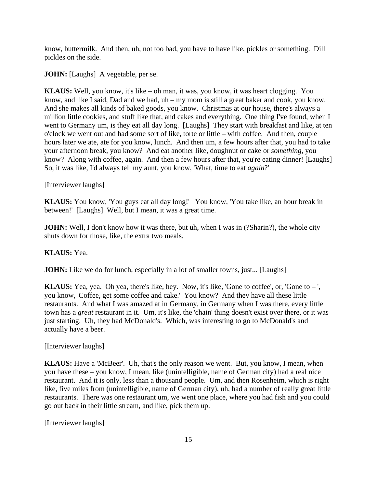know, buttermilk. And then, uh, not too bad, you have to have like, pickles or something. Dill pickles on the side.

**JOHN:** [Laughs] A vegetable, per se.

**KLAUS:** Well, you know, it's like – oh man, it was, you know, it was heart clogging. You know, and like I said, Dad and we had, uh – my mom is still a great baker and cook, you know. And she makes all kinds of baked goods, you know. Christmas at our house, there's always a million little cookies, and stuff like that, and cakes and everything. One thing I've found, when I went to Germany um, is they eat all day long. [Laughs] They start with breakfast and like, at ten o'clock we went out and had some sort of like, torte or little – with coffee. And then, couple hours later we ate, ate for you know, lunch. And then um, a few hours after that, you had to take your afternoon break, you know? And eat another like, doughnut or cake or *something*, you know? Along with coffee, again. And then a few hours after that, you're eating dinner! [Laughs] So, it was like, I'd always tell my aunt, you know, 'What, time to eat *again*?'

[Interviewer laughs]

**KLAUS:** You know, 'You guys eat all day long!' You know, 'You take like, an hour break in between!' [Laughs] Well, but I mean, it was a great time.

**JOHN:** Well, I don't know how it was there, but uh, when I was in (?Sharin?), the whole city shuts down for those, like, the extra two meals.

**KLAUS:** Yea.

**JOHN:** Like we do for lunch, especially in a lot of smaller towns, just... [Laughs]

**KLAUS:** Yea, yea. Oh yea, there's like, hey. Now, it's like, 'Gone to coffee', or, 'Gone to – ', you know, 'Coffee, get some coffee and cake.' You know? And they have all these little restaurants. And what I was amazed at in Germany, in Germany when I was there, every little town has a *great* restaurant in it. Um, it's like, the 'chain' thing doesn't exist over there, or it was just starting. Uh, they had McDonald's. Which, was interesting to go to McDonald's and actually have a beer.

[Interviewer laughs]

**KLAUS:** Have a 'McBeer'. Uh, that's the only reason we went. But, you know, I mean, when you have these – you know, I mean, like (unintelligible, name of German city) had a real nice restaurant. And it is only, less than a thousand people. Um, and then Rosenheim, which is right like, five miles from (unintelligible, name of German city), uh, had a number of really great little restaurants. There was one restaurant um, we went one place, where you had fish and you could go out back in their little stream, and like, pick them up.

[Interviewer laughs]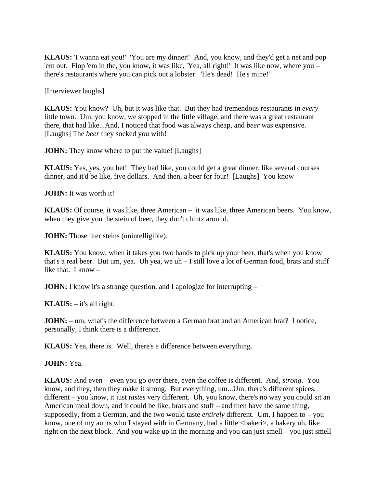**KLAUS:** 'I wanna eat you!' 'You are my dinner!' And, you know, and they'd get a net and pop 'em out. Flop 'em in the, you know, it was like, 'Yea, all right!' It was like now, where you – there's restaurants where you can pick out a lobster. 'He's dead! He's mine!'

[Interviewer laughs]

**KLAUS:** You know? Uh, but it was like that. But they had tremendous restaurants in *every*  little town. Um, you know, we stopped in the little village, and there was a great restaurant there, that had like...And, I noticed that food was always cheap, and *beer* was expensive. [Laughs] The *beer* they socked you with!

**JOHN:** They know where to put the value! [Laughs]

**KLAUS:** Yes, yes, you bet! They had like, you could get a great dinner, like several courses dinner, and it'd be like, five dollars. And then, a beer for four! [Laughs] You know –

**JOHN:** It was worth it!

**KLAUS:** Of course, it was like, three American – it was like, three American beers. You know, when they give you the stein of beer, they don't chintz around.

**JOHN:** Those liter steins (unintelligible).

**KLAUS:** You know, when it takes you two hands to pick up your beer, that's when you know that's a real beer. But um, yea. Uh yea, we uh – I still love a lot of German food, brats and stuff like that. I know –

**JOHN:** I know it's a strange question, and I apologize for interrupting –

**KLAUS:** – it's all right.

**JOHN:** – um, what's the difference between a German brat and an American brat? I notice, personally, I think there is a difference.

**KLAUS:** Yea, there is. Well, there's a difference between everything.

**JOHN:** Yea.

**KLAUS:** And even – even you go over there, even the coffee is different. And, *strong*. You know, and they, then they make it strong. But everything, um...Um, there's different spices, different – you know, it just *tastes* very different. Uh, you know, there's no way you could sit an American meal down, and it could be like, brats and stuff – and then have the same thing, supposedly, from a German, and the two would taste *entirely* different. Um, I happen to – you know, one of my aunts who I stayed with in Germany, had a little <br/>bakeri>, a bakery uh, like right on the next block. And you wake up in the morning and you can just smell – you just smell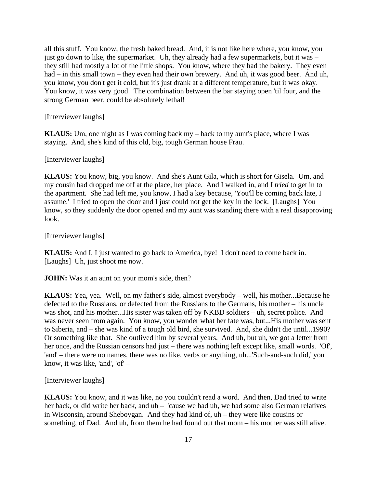all this stuff. You know, the fresh baked bread. And, it is not like here where, you know, you just go down to like, the supermarket. Uh, they already had a few supermarkets, but it was – they still had mostly a lot of the little shops. You know, where they had the bakery. They even had – in this small town – they even had their own brewery. And uh, it was good beer. And uh, you know, you don't get it cold, but it's just drank at a different temperature, but it was okay. You know, it was very good. The combination between the bar staying open 'til four, and the strong German beer, could be absolutely lethal!

[Interviewer laughs]

**KLAUS:** Um, one night as I was coming back my – back to my aunt's place, where I was staying. And, she's kind of this old, big, tough German house Frau.

[Interviewer laughs]

**KLAUS:** You know, big, you know. And she's Aunt Gila, which is short for Gisela. Um, and my cousin had dropped me off at the place, her place. And I walked in, and I *tried* to get in to the apartment. She had left me, you know, I had a key because, 'You'll be coming back late, I assume.' I tried to open the door and I just could not get the key in the lock. [Laughs] You know, so they suddenly the door opened and my aunt was standing there with a real disapproving look.

[Interviewer laughs]

**KLAUS:** And I, I just wanted to go back to America, bye! I don't need to come back in. [Laughs] Uh, just shoot me now.

**JOHN:** Was it an aunt on your mom's side, then?

**KLAUS:** Yea, yea. Well, on my father's side, almost everybody – well, his mother...Because he defected to the Russians, or defected from the Russians to the Germans, his mother – his uncle was shot, and his mother...His sister was taken off by NKBD soldiers – uh, secret police. And was never seen from again. You know, you wonder what her fate was, but...His mother was sent to Siberia, and – she was kind of a tough old bird, she survived. And, she didn't die until...1990? Or something like that. She outlived him by several years. And uh, but uh, we got a letter from her once, and the Russian censors had just – there was nothing left except like, small words. 'Of', 'and' – there were no names, there was no like, verbs or anything, uh...'Such-and-such did,' you know, it was like, 'and', 'of' –

[Interviewer laughs]

**KLAUS:** You know, and it was like, no you couldn't read a word. And then, Dad tried to write her back, or did write her back, and uh – 'cause we had uh, we had some also German relatives in Wisconsin, around Sheboygan. And they had kind of, uh – they were like cousins or something, of Dad. And uh, from them he had found out that mom – his mother was still alive.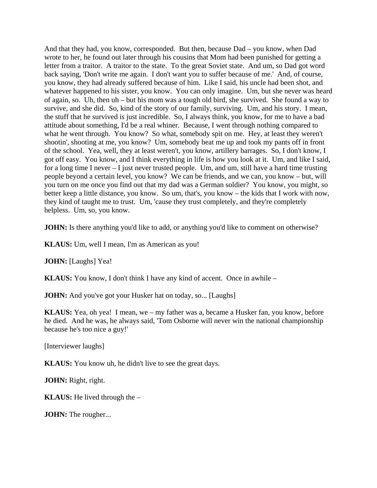And that they had, you know, corresponded. But then, because Dad – you know, when Dad wrote to her, he found out later through his cousins that Mom had been punished for getting a letter from a traitor. A traitor to the state. To the great Soviet state. And um, so Dad got word back saying, 'Don't write me again. I don't want you to suffer because of me.' And, of course, you know, they had already suffered because of him. Like I said, his uncle had been shot, and whatever happened to his sister, you know. You can only imagine. Um, but she never was heard of again, so. Uh, then uh – but his mom was a tough old bird, she survived. She found a way to survive, and she did. So, kind of the story of our family, surviving. Um, and his story. I mean, the stuff that he survived is just incredible. So, I always think, you know, for me to have a bad attitude about something, I'd be a real whiner. Because, I went through nothing compared to what he went through. You know? So what, somebody spit on me. Hey, at least they weren't shootin', shooting at me, you know? Um, somebody beat me up and took my pants off in front of the school. Yea, well, they at least weren't, you know, artillery barrages. So, I don't know, I got off easy. You know, and I think everything in life is how you look at it. Um, and like I said, for a long time I never – I just never trusted people. Um, and um, still have a hard time trusting people beyond a certain level, you know? We can be friends, and we can, you know – but, will you turn on me once you find out that my dad was a German soldier? You know, you might, so better keep a little distance, you know. So um, that's, you know – the kids that I work with now, they kind of taught me to trust. Um, 'cause they trust completely, and they're completely helpless. Um, so, you know.

**JOHN:** Is there anything you'd like to add, or anything you'd like to comment on otherwise?

**KLAUS:** Um, well I mean, I'm as American as you!

**JOHN:** [Laughs] Yea!

**KLAUS:** You know, I don't think I have any kind of accent. Once in awhile –

**JOHN:** And you've got your Husker hat on today, so... [Laughs]

**KLAUS:** Yea, oh yea! I mean, we – my father was a, became a Husker fan, you know, before he died. And he was, he always said, 'Tom Osborne will never win the national championship because he's too nice a guy!'

[Interviewer laughs]

**KLAUS:** You know uh, he didn't live to see the great days.

**JOHN:** Right, right.

**KLAUS:** He lived through the –

**JOHN:** The rougher...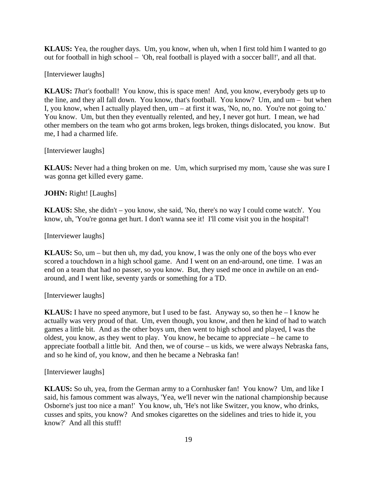**KLAUS:** Yea, the rougher days. Um, you know, when uh, when I first told him I wanted to go out for football in high school – 'Oh, real football is played with a soccer ball!', and all that.

[Interviewer laughs]

**KLAUS:** *That's* football! You know, this is space men! And, you know, everybody gets up to the line, and they all fall down. You know, that's football. You know? Um, and um – but when I, you know, when I actually played then, um – at first it was, 'No, no, no. You're not going to.' You know. Um, but then they eventually relented, and hey, I never got hurt. I mean, we had other members on the team who got arms broken, legs broken, things dislocated, you know. But me, I had a charmed life.

[Interviewer laughs]

**KLAUS:** Never had a thing broken on me. Um, which surprised my mom, 'cause she was sure I was gonna get killed every game.

**JOHN:** Right! [Laughs]

**KLAUS:** She, she didn't – you know, she said, 'No, there's no way I could come watch'. You know, uh, 'You're gonna get hurt. I don't wanna see it! I'll come visit you in the hospital'!

[Interviewer laughs]

**KLAUS:** So, um – but then uh, my dad, you know, I was the only one of the boys who ever scored a touchdown in a high school game. And I went on an end-around, one time. I was an end on a team that had no passer, so you know. But, they used me once in awhile on an endaround, and I went like, seventy yards or something for a TD.

[Interviewer laughs]

**KLAUS:** I have no speed anymore, but I used to be fast. Anyway so, so then he – I know he actually was very proud of that. Um, even though, you know, and then he kind of had to watch games a little bit. And as the other boys um, then went to high school and played, I was the oldest, you know, as they went to play. You know, he became to appreciate – he came to appreciate football a little bit. And then, we of course – us kids, we were always Nebraska fans, and so he kind of, you know, and then he became a Nebraska fan!

[Interviewer laughs]

**KLAUS:** So uh, yea, from the German army to a Cornhusker fan! You know? Um, and like I said, his famous comment was always, 'Yea, we'll never win the national championship because Osborne's just too nice a man!' You know, uh, 'He's not like Switzer, you know, who drinks, cusses and spits, you know? And smokes cigarettes on the sidelines and tries to hide it, you know?' And all this stuff!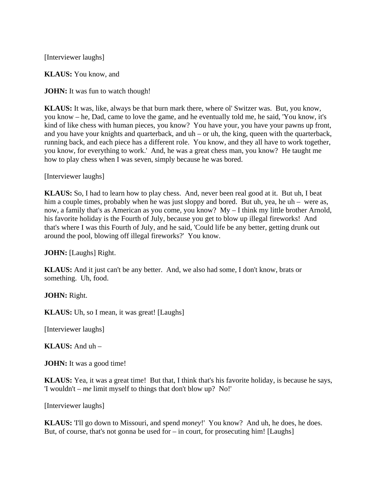[Interviewer laughs]

**KLAUS:** You know, and

**JOHN:** It was fun to watch though!

**KLAUS:** It was, like, always be that burn mark there, where ol' Switzer was. But, you know, you know – he, Dad, came to love the game, and he eventually told me, he said, 'You know, it's kind of like chess with human pieces, you know? You have your, you have your pawns up front, and you have your knights and quarterback, and uh – or uh, the king, queen with the quarterback, running back, and each piece has a different role. You know, and they all have to work together, you know, for everything to work.' And, he was a great chess man, you know? He taught me how to play chess when I was seven, simply because he was bored.

[Interviewer laughs]

**KLAUS:** So, I had to learn how to play chess. And, never been real good at it. But uh, I beat him a couple times, probably when he was just sloppy and bored. But uh, yea, he uh – were as, now, a family that's as American as you come, you know? My – I think my little brother Arnold, his favorite holiday is the Fourth of July, because you get to blow up illegal fireworks! And that's where I was this Fourth of July, and he said, 'Could life be any better, getting drunk out around the pool, blowing off illegal fireworks?' You know.

**JOHN:** [Laughs] Right.

**KLAUS:** And it just can't be any better. And, we also had some, I don't know, brats or something. Uh, food.

**JOHN:** Right.

**KLAUS:** Uh, so I mean, it was great! [Laughs]

[Interviewer laughs]

**KLAUS:** And uh –

**JOHN:** It was a good time!

**KLAUS:** Yea, it was a great time! But that, I think that's his favorite holiday, is because he says, 'I wouldn't – *me* limit myself to things that don't blow up? No!'

[Interviewer laughs]

**KLAUS:** 'I'll go down to Missouri, and spend *money*!' You know? And uh, he does, he does. But, of course, that's not gonna be used for  $-$  in court, for prosecuting him! [Laughs]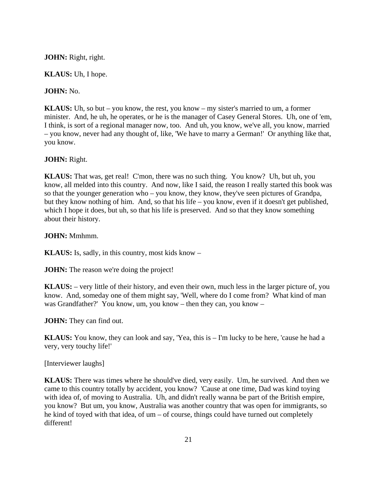### **JOHN:** Right, right.

**KLAUS:** Uh, I hope.

## **JOHN:** No.

**KLAUS:** Uh, so but – you know, the rest, you know – my sister's married to um, a former minister. And, he uh, he operates, or he is the manager of Casey General Stores. Uh, one of 'em, I think, is sort of a regional manager now, too. And uh, you know, we've all, you know, married – you know, never had any thought of, like, 'We have to marry a German!' Or anything like that, you know.

### **JOHN:** Right.

**KLAUS:** That was, get real! C'mon, there was no such thing. You know? Uh, but uh, you know, all melded into this country. And now, like I said, the reason I really started this book was so that the younger generation who – you know, they know, they've seen pictures of Grandpa, but they know nothing of him. And, so that his life – you know, even if it doesn't get published, which I hope it does, but uh, so that his life is preserved. And so that they know something about their history.

### **JOHN:** Mmhmm.

**KLAUS:** Is, sadly, in this country, most kids know –

**JOHN:** The reason we're doing the project!

**KLAUS:** – very little of their history, and even their own, much less in the larger picture of, you know. And, someday one of them might say, 'Well, where do I come from? What kind of man was Grandfather?' You know, um, you know – then they can, you know –

**JOHN:** They can find out.

**KLAUS:** You know, they can look and say, 'Yea, this is – I'm lucky to be here, 'cause he had a very, very touchy life!'

[Interviewer laughs]

**KLAUS:** There was times where he should've died, very easily. Um, he survived. And then we came to this country totally by accident, you know? 'Cause at one time, Dad was kind toying with idea of, of moving to Australia. Uh, and didn't really wanna be part of the British empire, you know? But um, you know, Australia was another country that was open for immigrants, so he kind of toyed with that idea, of um – of course, things could have turned out completely different!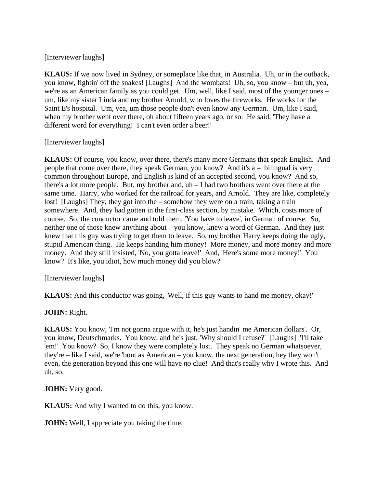## [Interviewer laughs]

**KLAUS:** If we now lived in Sydney, or someplace like that, in Australia. Uh, or in the outback, you know, fightin' off the snakes! [Laughs] And the wombats! Uh, so, you know – but uh, yea, we're as an American family as you could get. Um, well, like I said, most of the younger ones – um, like my sister Linda and my brother Arnold, who loves the fireworks. He works for the Saint E's hospital. Um, yea, um those people don't even know any German. Um, like I said, when my brother went over there, oh about fifteen years ago, or so. He said, 'They have a different word for everything! I can't even order a beer!'

## [Interviewer laughs]

**KLAUS:** Of course, you know, over there, there's many more Germans that speak English. And people that come over there, they speak German, you know? And it's a – bilingual is very common throughout Europe, and English is kind of an accepted second, you know? And so, there's a lot more people. But, my brother and, uh – I had two brothers went over there at the same time. Harry, who worked for the railroad for years, and Arnold. They are like, completely lost! [Laughs] They, they got into the – somehow they were on a train, taking a train somewhere. And, they had gotten in the first-class section, by mistake. Which, costs more of course. So, the conductor came and told them, 'You have to leave', in German of course. So, neither one of those knew anything about – you know, knew a word of German. And they just knew that this guy was trying to get them to leave. So, my brother Harry keeps doing the ugly, stupid American thing. He keeps handing him money! More money, and more money and more money. And they still insisted, 'No, you gotta leave!' And, 'Here's some more money!' You know? It's like, you idiot, how much money did you blow?

[Interviewer laughs]

**KLAUS:** And this conductor was going, 'Well, if this guy wants to hand me money, okay!'

# **JOHN:** Right.

**KLAUS:** You know, 'I'm not gonna argue with it, he's just handin' me American dollars'. Or, you know, Deutschmarks. You know, and he's just, 'Why should I refuse?' [Laughs] 'I'll take 'em!' You know? So, I know they were completely lost. They speak no German whatsoever, they're – like I said, we're 'bout as American – you know, the next generation, hey they won't even, the generation beyond this one will have *no* clue! And that's really why I wrote this. And uh, so.

**JOHN:** Very good.

**KLAUS:** And why I wanted to do this, you know.

**JOHN:** Well, I appreciate you taking the time.